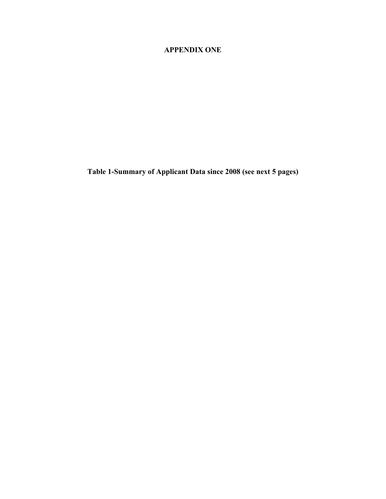## **APPENDIX ONE**

**Table 1-Summary of Applicant Data since 2008 (see next 5 pages)**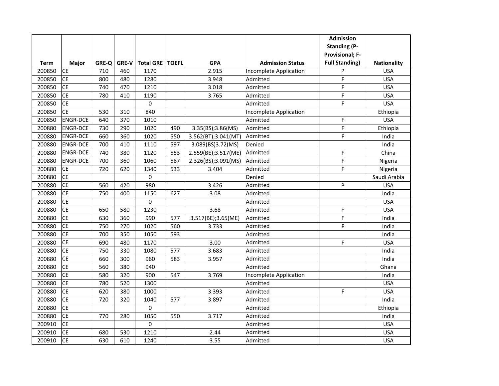|        |                 |       |              |                  |              |                     |                         | <b>Admission</b>       |                    |
|--------|-----------------|-------|--------------|------------------|--------------|---------------------|-------------------------|------------------------|--------------------|
|        |                 |       |              |                  |              |                     |                         | <b>Standing (P-</b>    |                    |
|        |                 |       |              |                  |              |                     |                         | <b>Provisional; F-</b> |                    |
| Term   | Major           | GRE-Q | <b>GRE-V</b> | <b>Total GRE</b> | <b>TOEFL</b> | <b>GPA</b>          | <b>Admission Status</b> | <b>Full Standing)</b>  | <b>Nationality</b> |
| 200850 | <b>CE</b>       | 710   | 460          | 1170             |              | 2.915               | Incomplete Application  | P                      | <b>USA</b>         |
| 200850 | <b>CE</b>       | 800   | 480          | 1280             |              | 3.948               | Admitted                | F                      | <b>USA</b>         |
| 200850 | <b>CE</b>       | 740   | 470          | 1210             |              | 3.018               | Admitted                | F                      | <b>USA</b>         |
| 200850 | <b>CE</b>       | 780   | 410          | 1190             |              | 3.765               | Admitted                | F                      | <b>USA</b>         |
| 200850 | <b>CE</b>       |       |              | 0                |              |                     | Admitted                | F                      | <b>USA</b>         |
| 200850 | <b>CE</b>       | 530   | 310          | 840              |              |                     | Incomplete Application  |                        | Ethiopia           |
| 200850 | <b>ENGR-DCE</b> | 640   | 370          | 1010             |              |                     | Admitted                | F                      | <b>USA</b>         |
| 200880 | <b>ENGR-DCE</b> | 730   | 290          | 1020             | 490          | 3.35(BS);3.86(MS)   | Admitted                | F                      | Ethiopia           |
| 200880 | <b>ENGR-DCE</b> | 660   | 360          | 1020             | 550          | 3.562(BT);3.041(MT) | Admitted                | F                      | India              |
| 200880 | <b>ENGR-DCE</b> | 700   | 410          | 1110             | 597          | 3.089(BS)3.72(MS)   | Denied                  |                        | India              |
| 200880 | <b>ENGR-DCE</b> | 740   | 380          | 1120             | 553          | 2.559(BE);3.517(ME) | Admitted                | F                      | China              |
| 200880 | <b>ENGR-DCE</b> | 700   | 360          | 1060             | 587          | 2.326(BS);3.091(MS) | Admitted                | F                      | Nigeria            |
| 200880 | <b>CE</b>       | 720   | 620          | 1340             | 533          | 3.404               | Admitted                | F                      | Nigeria            |
| 200880 | <b>CE</b>       |       |              | 0                |              |                     | Denied                  |                        | Saudi Arabia       |
| 200880 | <b>CE</b>       | 560   | 420          | 980              |              | 3.426               | Admitted                | P                      | <b>USA</b>         |
| 200880 | <b>CE</b>       | 750   | 400          | 1150             | 627          | 3.08                | Admitted                |                        | India              |
| 200880 | <b>CE</b>       |       |              | 0                |              |                     | Admitted                |                        | <b>USA</b>         |
| 200880 | <b>CE</b>       | 650   | 580          | 1230             |              | 3.68                | Admitted                | F                      | <b>USA</b>         |
| 200880 | <b>CE</b>       | 630   | 360          | 990              | 577          | 3.517(BE);3.65(ME)  | Admitted                | F                      | India              |
| 200880 | <b>CE</b>       | 750   | 270          | 1020             | 560          | 3.733               | Admitted                | F                      | India              |
| 200880 | <b>CE</b>       | 700   | 350          | 1050             | 593          |                     | Admitted                |                        | India              |
| 200880 | CE              | 690   | 480          | 1170             |              | 3.00                | Admitted                | F                      | <b>USA</b>         |
| 200880 | <b>CE</b>       | 750   | 330          | 1080             | 577          | 3.683               | Admitted                |                        | India              |
| 200880 | <b>CE</b>       | 660   | 300          | 960              | 583          | 3.957               | Admitted                |                        | India              |
| 200880 | <b>CE</b>       | 560   | 380          | 940              |              |                     | Admitted                |                        | Ghana              |
| 200880 | <b>CE</b>       | 580   | 320          | 900              | 547          | 3.769               | Incomplete Application  |                        | India              |
| 200880 | <b>CE</b>       | 780   | 520          | 1300             |              |                     | Admitted                |                        | <b>USA</b>         |
| 200880 | <b>CE</b>       | 620   | 380          | 1000             |              | 3.393               | Admitted                | F                      | <b>USA</b>         |
| 200880 | $\overline{CE}$ | 720   | 320          | 1040             | 577          | 3.897               | Admitted                |                        | India              |
| 200880 | <b>CE</b>       |       |              | 0                |              |                     | Admitted                |                        | Ethiopia           |
| 200880 | <b>CE</b>       | 770   | 280          | 1050             | 550          | 3.717               | Admitted                |                        | India              |
| 200910 | <b>CE</b>       |       |              | 0                |              |                     | Admitted                |                        | <b>USA</b>         |
| 200910 | <b>CE</b>       | 680   | 530          | 1210             |              | 2.44                | Admitted                |                        | <b>USA</b>         |
| 200910 | <b>CE</b>       | 630   | 610          | 1240             |              | 3.55                | Admitted                |                        | <b>USA</b>         |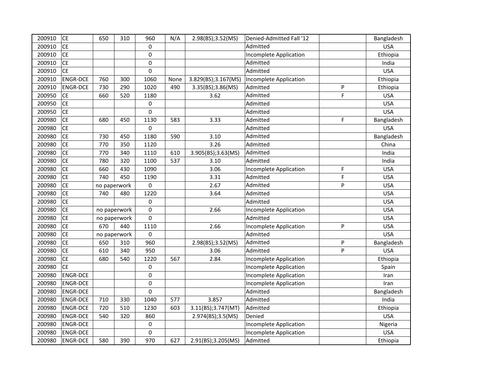| 200910 | <b>CE</b>       | 650          | 310 | 960         | N/A  | 2.98(BS);3.52(MS)<br>Denied-Admitted Fall '12 |                        |   | Bangladesh |
|--------|-----------------|--------------|-----|-------------|------|-----------------------------------------------|------------------------|---|------------|
| 200910 | <b>CE</b>       |              |     | 0           |      | Admitted                                      |                        |   | <b>USA</b> |
| 200910 | <b>CE</b>       |              |     | 0           |      | Incomplete Application                        |                        |   | Ethiopia   |
| 200910 | <b>CE</b>       |              |     | 0           |      | Admitted                                      |                        |   | India      |
| 200910 | <b>CE</b>       |              |     | $\mathbf 0$ |      |                                               | Admitted               |   | <b>USA</b> |
| 200910 | <b>ENGR-DCE</b> | 760          | 300 | 1060        | None | 3.829(BS);3.167(MS)                           | Incomplete Application |   | Ethiopia   |
| 200910 | <b>ENGR-DCE</b> | 730          | 290 | 1020        | 490  | 3.35(BS);3.86(MS)                             | Admitted               | P | Ethiopia   |
| 200950 | <b>CE</b>       | 660          | 520 | 1180        |      | 3.62                                          | Admitted               | F | <b>USA</b> |
| 200950 | <b>CE</b>       |              |     | 0           |      |                                               | Admitted               |   | <b>USA</b> |
| 200950 | <b>CE</b>       |              |     | 0           |      |                                               | Admitted               |   | <b>USA</b> |
| 200980 | <b>CE</b>       | 680          | 450 | 1130        | 583  | 3.33                                          | Admitted               | F | Bangladesh |
| 200980 | <b>CE</b>       |              |     | 0           |      |                                               | Admitted               |   | <b>USA</b> |
| 200980 | <b>CE</b>       | 730          | 450 | 1180        | 590  | 3.10                                          | Admitted               |   | Bangladesh |
| 200980 | <b>CE</b>       | 770          | 350 | 1120        |      | 3.26                                          | Admitted               |   | China      |
| 200980 | <b>CE</b>       | 770          | 340 | 1110        | 610  | 3.905(BS);3.63(MS)                            | Admitted               |   | India      |
| 200980 | <b>CE</b>       | 780          | 320 | 1100        | 537  | 3.10                                          | Admitted               |   | India      |
| 200980 | <b>CE</b>       | 660          | 430 | 1090        |      | 3.06                                          | Incomplete Application | F | <b>USA</b> |
| 200980 | <b>CE</b>       | 740          | 450 | 1190        |      | 3.31                                          | Admitted               | F | <b>USA</b> |
| 200980 | <b>CE</b>       | no paperwork |     | 0           |      | 2.67                                          | Admitted               | P | <b>USA</b> |
| 200980 | <b>CE</b>       | 740          | 480 | 1220        |      | 3.64                                          | Admitted               |   | <b>USA</b> |
| 200980 | <b>CE</b>       |              |     | 0           |      |                                               | Admitted               |   | <b>USA</b> |
| 200980 | <b>CE</b>       | no paperwork |     | 0           |      | 2.66                                          | Incomplete Application |   | <b>USA</b> |
| 200980 | <b>CE</b>       | no paperwork |     | 0           |      |                                               | Admitted               |   | <b>USA</b> |
| 200980 | <b>CE</b>       | 670          | 440 | 1110        |      | 2.66                                          | Incomplete Application | P | <b>USA</b> |
| 200980 | <b>CE</b>       | no paperwork |     | 0           |      |                                               | Admitted               |   | <b>USA</b> |
| 200980 | <b>CE</b>       | 650          | 310 | 960         |      | 2.98(BS);3.52(MS)                             | Admitted               | P | Bangladesh |
| 200980 | <b>CE</b>       | 610          | 340 | 950         |      | 3.06                                          | Admitted               | P | <b>USA</b> |
| 200980 | <b>CE</b>       | 680          | 540 | 1220        | 567  | 2.84                                          | Incomplete Application |   | Ethiopia   |
| 200980 | <b>CE</b>       |              |     | 0           |      |                                               | Incomplete Application |   | Spain      |
| 200980 | <b>ENGR-DCE</b> |              |     | 0           |      |                                               | Incomplete Application |   | Iran       |
| 200980 | <b>ENGR-DCE</b> |              |     | 0           |      |                                               | Incomplete Application |   | Iran       |
| 200980 | <b>ENGR-DCE</b> |              |     | 0           |      |                                               | Admitted               |   | Bangladesh |
| 200980 | <b>ENGR-DCE</b> | 710          | 330 | 1040        | 577  | 3.857                                         | Admitted               |   | India      |
| 200980 | <b>ENGR-DCE</b> | 720          | 510 | 1230        | 603  | 3.11(BS);3.747(MT)                            | Admitted               |   | Ethiopia   |
| 200980 | <b>ENGR-DCE</b> | 540          | 320 | 860         |      | 2.974(BS);3.5(MS)                             | Denied                 |   | <b>USA</b> |
| 200980 | <b>ENGR-DCE</b> |              |     | 0           |      |                                               | Incomplete Application |   | Nigeria    |
| 200980 | <b>ENGR-DCE</b> |              |     | 0           |      |                                               | Incomplete Application |   | <b>USA</b> |
| 200980 | <b>ENGR-DCE</b> | 580          | 390 | 970         | 627  | 2.91(BS);3.205(MS)                            | Admitted               |   | Ethiopia   |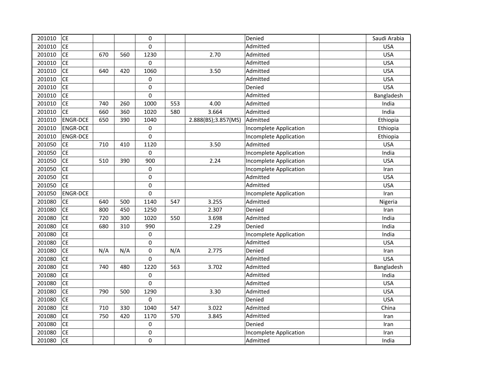| 201010 | <b>CE</b>       |     |     | $\mathbf 0$ |     |                     | Denied                 | Saudi Arabia |
|--------|-----------------|-----|-----|-------------|-----|---------------------|------------------------|--------------|
| 201010 | <b>CE</b>       |     |     | $\Omega$    |     | Admitted            |                        | <b>USA</b>   |
| 201010 | <b>CE</b>       | 670 | 560 | 1230        |     | 2.70                | Admitted               | <b>USA</b>   |
| 201010 | <b>CE</b>       |     |     | $\mathbf 0$ |     |                     | Admitted               | <b>USA</b>   |
| 201010 | <b>CE</b>       | 640 | 420 | 1060        |     | 3.50                | Admitted               | <b>USA</b>   |
| 201010 | <b>CE</b>       |     |     | $\mathbf 0$ |     |                     | Admitted               | <b>USA</b>   |
| 201010 | <b>CE</b>       |     |     | $\mathbf 0$ |     |                     | Denied                 | <b>USA</b>   |
| 201010 | <b>CE</b>       |     |     | 0           |     |                     | Admitted               | Bangladesh   |
| 201010 | <b>CE</b>       | 740 | 260 | 1000        | 553 | 4.00                | Admitted               | India        |
| 201010 | <b>CE</b>       | 660 | 360 | 1020        | 580 | 3.664               | Admitted               | India        |
| 201010 | <b>ENGR-DCE</b> | 650 | 390 | 1040        |     | 2.888(BS);3.857(MS) | Admitted               | Ethiopia     |
| 201010 | <b>ENGR-DCE</b> |     |     | $\pmb{0}$   |     |                     | Incomplete Application | Ethiopia     |
| 201010 | <b>ENGR-DCE</b> |     |     | $\mathbf 0$ |     |                     | Incomplete Application | Ethiopia     |
| 201050 | <b>CE</b>       | 710 | 410 | 1120        |     | 3.50                | Admitted               | <b>USA</b>   |
| 201050 | <b>CE</b>       |     |     | $\mathbf 0$ |     |                     | Incomplete Application | India        |
| 201050 | <b>CE</b>       | 510 | 390 | 900         |     | 2.24                | Incomplete Application | <b>USA</b>   |
| 201050 | <b>CE</b>       |     |     | 0           |     |                     | Incomplete Application | Iran         |
| 201050 | <b>CE</b>       |     |     | 0           |     |                     | Admitted               | <b>USA</b>   |
| 201050 | <b>CE</b>       |     |     | $\mathbf 0$ |     |                     | Admitted               | <b>USA</b>   |
| 201050 | <b>ENGR-DCE</b> |     |     | $\pmb{0}$   |     |                     | Incomplete Application | Iran         |
| 201080 | <b>CE</b>       | 640 | 500 | 1140        | 547 | 3.255               | Admitted               | Nigeria      |
| 201080 | <b>CE</b>       | 800 | 450 | 1250        |     | 2.307               | Denied                 | Iran         |
| 201080 | <b>CE</b>       | 720 | 300 | 1020        | 550 | 3.698               | Admitted               | India        |
| 201080 | <b>CE</b>       | 680 | 310 | 990         |     | 2.29                | Denied                 | India        |
| 201080 | <b>CE</b>       |     |     | 0           |     |                     | Incomplete Application | India        |
| 201080 | <b>CE</b>       |     |     | $\mathbf 0$ |     |                     | Admitted               | <b>USA</b>   |
| 201080 | <b>CE</b>       | N/A | N/A | $\mathbf 0$ | N/A | 2.775               | Denied                 | Iran         |
| 201080 | <b>CE</b>       |     |     | $\mathbf 0$ |     |                     | Admitted               | <b>USA</b>   |
| 201080 | <b>CE</b>       | 740 | 480 | 1220        | 563 | 3.702               | Admitted               | Bangladesh   |
| 201080 | <b>CE</b>       |     |     | 0           |     |                     | Admitted               | India        |
| 201080 | <b>CE</b>       |     |     | $\pmb{0}$   |     |                     | Admitted               | <b>USA</b>   |
| 201080 | <b>CE</b>       | 790 | 500 | 1290        |     | 3.30                | Admitted               | <b>USA</b>   |
| 201080 | <b>CE</b>       |     |     | 0           |     |                     | Denied                 | <b>USA</b>   |
| 201080 | <b>CE</b>       | 710 | 330 | 1040        | 547 | 3.022               | Admitted               | China        |
| 201080 | <b>CE</b>       | 750 | 420 | 1170        | 570 | 3.845               | Admitted               | Iran         |
| 201080 | CE              |     |     | $\mathbf 0$ |     |                     | Denied                 | Iran         |
| 201080 | <b>CE</b>       |     |     | 0           |     |                     | Incomplete Application | Iran         |
| 201080 | <b>CE</b>       |     |     | 0           |     |                     | Admitted               | India        |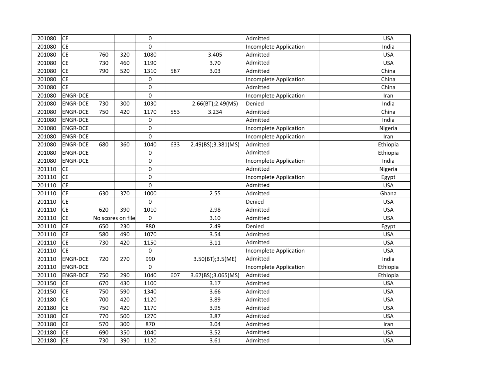| 201080 | <b>CE</b>       |                   |     | $\mathbf 0$      |       |                    | Admitted                      | <b>USA</b> |
|--------|-----------------|-------------------|-----|------------------|-------|--------------------|-------------------------------|------------|
| 201080 | <b>CE</b>       |                   |     | $\mathbf 0$      |       |                    | <b>Incomplete Application</b> | India      |
| 201080 | CE              | 760               | 320 | 1080             | 3.405 |                    | Admitted                      | <b>USA</b> |
| 201080 | <b>CE</b>       | 730               | 460 | 1190             |       | 3.70               | Admitted                      | <b>USA</b> |
| 201080 | <b>CE</b>       | 790               | 520 | 1310             | 587   | 3.03               | Admitted                      | China      |
| 201080 | <b>CE</b>       |                   |     | $\mathbf 0$      |       |                    | Incomplete Application        | China      |
| 201080 | <b>CE</b>       |                   |     | $\pmb{0}$        |       |                    | Admitted                      | China      |
| 201080 | <b>ENGR-DCE</b> |                   |     | $\mathbf 0$      |       |                    | Incomplete Application        | Iran       |
| 201080 | <b>ENGR-DCE</b> | 730               | 300 | 1030             |       | 2.66(BT);2.49(MS)  | Denied                        | India      |
| 201080 | <b>ENGR-DCE</b> | 750               | 420 | 1170             | 553   | 3.234              | Admitted                      | China      |
| 201080 | <b>ENGR-DCE</b> |                   |     | 0                |       |                    | Admitted                      | India      |
| 201080 | <b>ENGR-DCE</b> |                   |     | $\mathbf 0$      |       |                    | Incomplete Application        | Nigeria    |
| 201080 | <b>ENGR-DCE</b> |                   |     | $\mathbf 0$      |       |                    | Incomplete Application        | Iran       |
| 201080 | <b>ENGR-DCE</b> | 680               | 360 | 1040             | 633   | 2.49(BS);3.381(MS) | Admitted                      | Ethiopia   |
| 201080 | <b>ENGR-DCE</b> |                   |     | $\pmb{0}$        |       |                    | Admitted                      | Ethiopia   |
| 201080 | <b>ENGR-DCE</b> |                   |     | $\mathbf 0$      |       |                    | Incomplete Application        | India      |
| 201110 | <b>CE</b>       |                   |     | $\mathbf 0$      |       |                    | Admitted                      | Nigeria    |
| 201110 | <b>CE</b>       |                   |     | $\mathbf 0$      |       |                    | Incomplete Application        | Egypt      |
| 201110 | <b>CE</b>       |                   |     | $\mathbf 0$      |       |                    | Admitted                      | <b>USA</b> |
| 201110 | <b>CE</b>       | 630               | 370 | 1000             |       | 2.55               | Admitted                      | Ghana      |
| 201110 | <b>CE</b>       |                   |     | $\pmb{0}$        |       |                    | Denied                        | <b>USA</b> |
| 201110 | <b>CE</b>       | 620               | 390 | 1010             |       | 2.98               | Admitted                      | <b>USA</b> |
| 201110 | <b>CE</b>       | No scores on file |     | $\pmb{0}$        |       | 3.10               | Admitted                      | <b>USA</b> |
| 201110 | <b>CE</b>       | 650               | 230 | 880              |       | 2.49               | Denied                        | Egypt      |
| 201110 | <b>CE</b>       | 580               | 490 | 1070             |       | 3.54               | Admitted                      | <b>USA</b> |
| 201110 | <b>CE</b>       | 730               | 420 | 1150             |       | 3.11               | Admitted                      | <b>USA</b> |
| 201110 | <b>CE</b>       |                   |     | $\mathbf 0$      |       |                    | Incomplete Application        | <b>USA</b> |
| 201110 | <b>ENGR-DCE</b> | 720               | 270 | 990              |       | 3.50(BT);3.5(ME)   | Admitted                      | India      |
| 201110 | <b>ENGR-DCE</b> |                   |     | $\boldsymbol{0}$ |       |                    | Incomplete Application        | Ethiopia   |
| 201110 | <b>ENGR-DCE</b> | 750               | 290 | 1040             | 607   | 3.67(BS);3.065(MS) | Admitted                      | Ethiopia   |
| 201150 | <b>CE</b>       | 670               | 430 | 1100             |       | 3.17               | Admitted                      | <b>USA</b> |
| 201150 | <b>CE</b>       | 750               | 590 | 1340             |       | 3.66               | Admitted                      | <b>USA</b> |
| 201180 | <b>CE</b>       | 700               | 420 | 1120             |       | 3.89               | Admitted                      | <b>USA</b> |
| 201180 | <b>CE</b>       | 750               | 420 | 1170             |       | 3.95               | Admitted                      | <b>USA</b> |
| 201180 | <b>CE</b>       | 770               | 500 | 1270             |       | 3.87               | Admitted                      | <b>USA</b> |
| 201180 | <b>CE</b>       | 570               | 300 | 870              |       | 3.04               | Admitted                      | Iran       |
| 201180 | <b>CE</b>       | 690               | 350 | 1040             |       | 3.52               | Admitted                      | <b>USA</b> |
| 201180 | <b>CE</b>       | 730               | 390 | 1120             |       | 3.61               | Admitted                      | <b>USA</b> |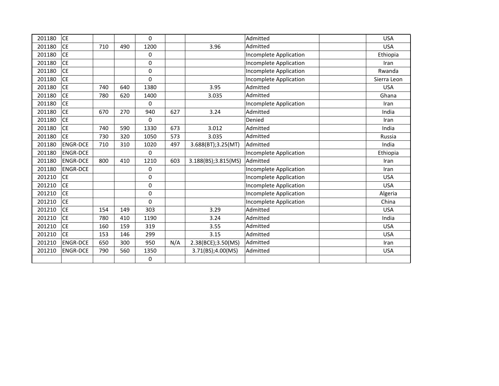| 201180 | <b>CE</b>       |     |     | $\Omega$    |     |                     | Admitted                      | <b>USA</b>    |
|--------|-----------------|-----|-----|-------------|-----|---------------------|-------------------------------|---------------|
| 201180 | <b>CE</b>       | 710 | 490 | 1200        |     | 3.96                | Admitted                      | <b>USA</b>    |
| 201180 | <b>CE</b>       |     |     | 0           |     |                     | Incomplete Application        | Ethiopia      |
| 201180 | <b>CE</b>       |     |     | 0           |     |                     | Incomplete Application        | Iran          |
| 201180 | <b>CE</b>       |     |     | 0           |     |                     | Incomplete Application        | Rwanda        |
| 201180 | <b>CE</b>       |     |     | 0           |     |                     | Incomplete Application        | Sierra Leon   |
| 201180 | <b>CE</b>       | 740 | 640 | 1380        |     | 3.95                | Admitted                      | <b>USA</b>    |
| 201180 | <b>CE</b>       | 780 | 620 | 1400        |     | 3.035               | Admitted                      | Ghana         |
| 201180 | <b>CE</b>       |     |     | $\Omega$    |     |                     | Incomplete Application        | Iran          |
| 201180 | <b>CE</b>       | 670 | 270 | 940         | 627 | 3.24                | Admitted                      | India         |
| 201180 | <b>CE</b>       |     |     | 0           |     |                     | Denied                        | Iran          |
| 201180 | <b>CE</b>       | 740 | 590 | 1330        | 673 | 3.012               | Admitted                      | India         |
| 201180 | <b>CE</b>       | 730 | 320 | 1050        | 573 | 3.035               | Admitted                      | <b>Russia</b> |
| 201180 | <b>ENGR-DCE</b> | 710 | 310 | 1020        | 497 | 3.688(BT);3.25(MT)  | Admitted                      | India         |
| 201180 | <b>ENGR-DCE</b> |     |     | $\mathbf 0$ |     |                     | Incomplete Application        | Ethiopia      |
| 201180 | <b>ENGR-DCE</b> | 800 | 410 | 1210        | 603 | 3.188(BS);3.815(MS) | Admitted                      | Iran          |
| 201180 | <b>ENGR-DCE</b> |     |     | 0           |     |                     | <b>Incomplete Application</b> | Iran          |
| 201210 | <b>CE</b>       |     |     | $\pmb{0}$   |     |                     | Incomplete Application        | <b>USA</b>    |
| 201210 | <b>CE</b>       |     |     | $\mathbf 0$ |     |                     | <b>Incomplete Application</b> | <b>USA</b>    |
| 201210 | <b>CE</b>       |     |     | 0           |     |                     | Incomplete Application        | Algeria       |
| 201210 | <b>CE</b>       |     |     | $\Omega$    |     |                     | Incomplete Application        | China         |
| 201210 | <b>CE</b>       | 154 | 149 | 303         |     | 3.29                | Admitted                      | <b>USA</b>    |
| 201210 | <b>CE</b>       | 780 | 410 | 1190        |     | 3.24                | Admitted                      | India         |
| 201210 | <b>CE</b>       | 160 | 159 | 319         |     | 3.55                | Admitted                      | <b>USA</b>    |
| 201210 | <b>CE</b>       | 153 | 146 | 299         |     | 3.15                | Admitted                      | <b>USA</b>    |
| 201210 | <b>ENGR-DCE</b> | 650 | 300 | 950         | N/A | 2.38(BCE);3.50(MS)  | Admitted                      | Iran          |
| 201210 | <b>ENGR-DCE</b> | 790 | 560 | 1350        |     | 3.71(BS);4.00(MS)   | Admitted                      | <b>USA</b>    |
|        |                 |     |     | $\mathbf 0$ |     |                     |                               |               |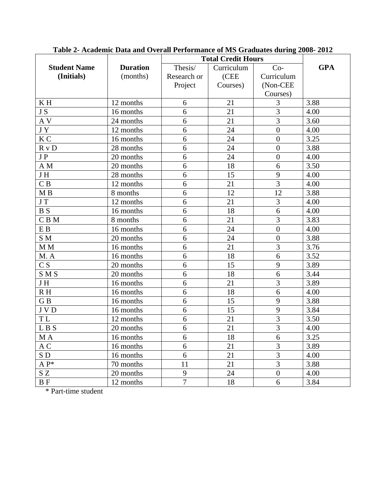|                     |                 | <b>Total Credit Hours</b> |            |                  |            |
|---------------------|-----------------|---------------------------|------------|------------------|------------|
| <b>Student Name</b> | <b>Duration</b> | Thesis/                   | Curriculum | $Co-$            | <b>GPA</b> |
| (Initials)          | (months)        | Research or               | (CEE       | Curriculum       |            |
|                     |                 | Project                   | Courses)   | (Non-CEE         |            |
|                     |                 |                           |            | Courses)         |            |
| KH                  | 12 months       | 6                         | 21         | 3                | 3.88       |
| JS                  | 16 months       | 6                         | 21         | 3                | 4.00       |
| A V                 | 24 months       | 6                         | 21         | 3                | 3.60       |
| JY                  | 12 months       | 6                         | 24         | $\overline{0}$   | 4.00       |
| K <sub>C</sub>      | 16 months       | 6                         | 24         | $\overline{0}$   | 3.25       |
| R v D               | 28 months       | 6                         | 24         | $\overline{0}$   | 3.88       |
| JP                  | 20 months       | 6                         | 24         | $\overline{0}$   | 4.00       |
| A M                 | 20 months       | 6                         | 18         | 6                | 3.50       |
| JH                  | 28 months       | 6                         | 15         | 9                | 4.00       |
| C B                 | 12 months       | 6                         | 21         | $\overline{3}$   | 4.00       |
| M B                 | 8 months        | 6                         | 12         | 12               | 3.88       |
| J T                 | 12 months       | 6                         | 21         | 3                | 4.00       |
| <b>BS</b>           | 16 months       | 6                         | 18         | 6                | 4.00       |
| $C$ B M             | 8 months        | 6                         | 21         | 3                | 3.83       |
| E B                 | 16 months       | 6                         | 24         | $\overline{0}$   | 4.00       |
| S M                 | 20 months       | 6                         | 24         | $\overline{0}$   | 3.88       |
| M M                 | 16 months       | 6                         | 21         | 3                | 3.76       |
| M.A                 | 16 months       | 6                         | 18         | 6                | 3.52       |
| C S                 | 20 months       | 6                         | 15         | 9                | 3.89       |
| S M S               | 20 months       | 6                         | 18         | 6                | 3.44       |
| JH                  | 16 months       | 6                         | 21         | 3                | 3.89       |
| RH                  | 16 months       | 6                         | 18         | 6                | 4.00       |
| GB                  | 16 months       | 6                         | 15         | 9                | 3.88       |
| <b>JVD</b>          | 16 months       | 6                         | 15         | 9                | 3.84       |
| T L                 | 12 months       | 6                         | 21         | 3                | 3.50       |
| LBS                 | 20 months       | 6                         | 21         | 3                | 4.00       |
| $\mathbf{M}$ A      | 16 months       | $\boldsymbol{6}$          | 18         | 6                | 3.25       |
| A C                 | 16 months       | 6                         | 21         | 3                | 3.89       |
| SD <sub>1</sub>     | 16 months       | 6                         | 21         | $\overline{3}$   | 4.00       |
| $A P^*$             | 70 months       | 11                        | 21         | $\overline{3}$   | 3.88       |
| SZ                  | 20 months       | 9                         | 24         | $\boldsymbol{0}$ | 4.00       |
| <b>BF</b>           | 12 months       | $\overline{7}$            | 18         | 6                | 3.84       |

**Table 2- Academic Data and Overall Performance of MS Graduates during 2008- 2012**

\* Part-time student